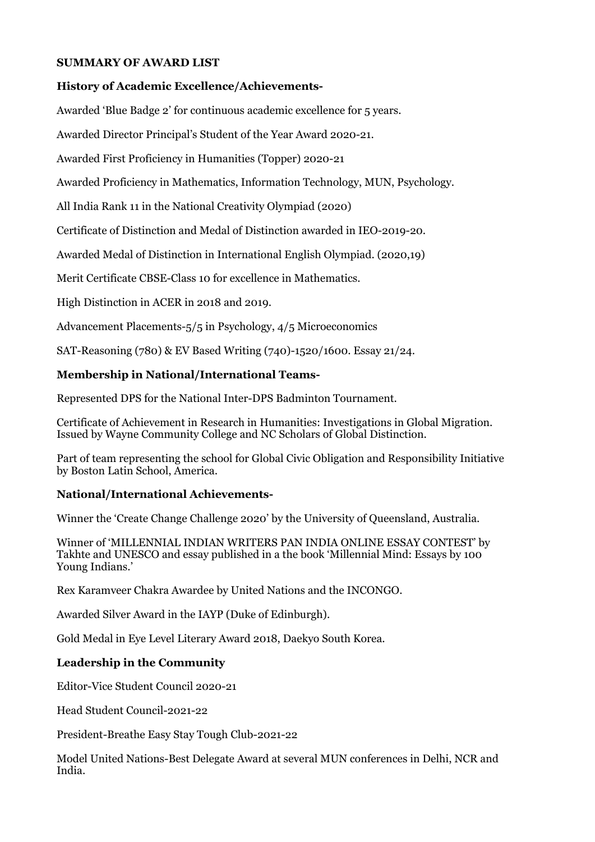### **SUMMARY OF AWARD LIST**

#### **History of Academic Excellence/Achievements-**

Awarded 'Blue Badge 2' for continuous academic excellence for 5 years.

Awarded Director Principal's Student of the Year Award 2020-21.

Awarded First Proficiency in Humanities (Topper) 2020-21

Awarded Proficiency in Mathematics, Information Technology, MUN, Psychology.

All India Rank 11 in the National Creativity Olympiad (2020)

Certificate of Distinction and Medal of Distinction awarded in IEO-2019-20.

Awarded Medal of Distinction in International English Olympiad. (2020,19)

Merit Certificate CBSE-Class 10 for excellence in Mathematics.

High Distinction in ACER in 2018 and 2019.

Advancement Placements-5/5 in Psychology, 4/5 Microeconomics

SAT-Reasoning (780) & EV Based Writing (740)-1520/1600. Essay 21/24.

#### **Membership in National/International Teams-**

Represented DPS for the National Inter-DPS Badminton Tournament.

Certificate of Achievement in Research in Humanities: Investigations in Global Migration. Issued by Wayne Community College and NC Scholars of Global Distinction.

Part of team representing the school for Global Civic Obligation and Responsibility Initiative by Boston Latin School, America.

### **National/International Achievements-**

Winner the 'Create Change Challenge 2020' by the University of Queensland, Australia.

Winner of 'MILLENNIAL INDIAN WRITERS PAN INDIA ONLINE ESSAY CONTEST' by Takhte and UNESCO and essay published in a the book 'Millennial Mind: Essays by 100 Young Indians.'

Rex Karamveer Chakra Awardee by United Nations and the INCONGO.

Awarded Silver Award in the IAYP (Duke of Edinburgh).

Gold Medal in Eye Level Literary Award 2018, Daekyo South Korea.

### **Leadership in the Community**

Editor-Vice Student Council 2020-21

Head Student Council-2021-22

President-Breathe Easy Stay Tough Club-2021-22

Model United Nations-Best Delegate Award at several MUN conferences in Delhi, NCR and India.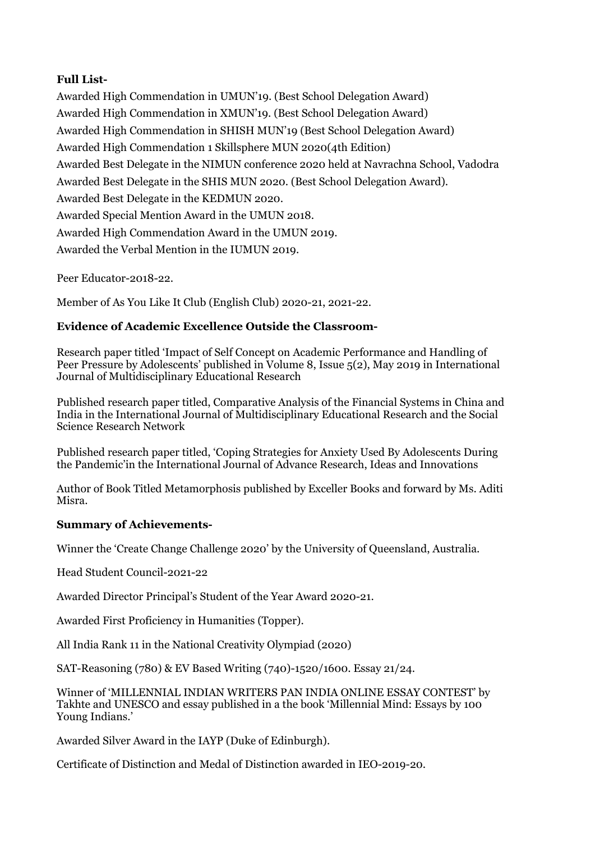# **Full List-**

Awarded High Commendation in UMUN'19. (Best School Delegation Award) Awarded High Commendation in XMUN'19. (Best School Delegation Award) Awarded High Commendation in SHISH MUN'19 (Best School Delegation Award) Awarded High Commendation 1 Skillsphere MUN 2020(4th Edition) Awarded Best Delegate in the NIMUN conference 2020 held at Navrachna School, Vadodra Awarded Best Delegate in the SHIS MUN 2020. (Best School Delegation Award). Awarded Best Delegate in the KEDMUN 2020. Awarded Special Mention Award in the UMUN 2018. Awarded High Commendation Award in the UMUN 2019. Awarded the Verbal Mention in the IUMUN 2019.

Peer Educator-2018-22.

Member of As You Like It Club (English Club) 2020-21, 2021-22.

## **Evidence of Academic Excellence Outside the Classroom-**

Research paper titled 'Impact of Self Concept on Academic Performance and Handling of Peer Pressure by Adolescents' published in Volume 8, Issue 5(2), May 2019 in International Journal of Multidisciplinary Educational Research

Published research paper titled, Comparative Analysis of the Financial Systems in China and India in the International Journal of Multidisciplinary Educational Research and the Social Science Research Network

Published research paper titled, 'Coping Strategies for Anxiety Used By Adolescents During the Pandemic'in the International Journal of Advance Research, Ideas and Innovations

Author of Book Titled Metamorphosis published by Exceller Books and forward by Ms. Aditi Misra.

### **Summary of Achievements-**

Winner the 'Create Change Challenge 2020' by the University of Queensland, Australia.

Head Student Council-2021-22

Awarded Director Principal's Student of the Year Award 2020-21.

Awarded First Proficiency in Humanities (Topper).

All India Rank 11 in the National Creativity Olympiad (2020)

SAT-Reasoning (780) & EV Based Writing (740)-1520/1600. Essay 21/24.

Winner of 'MILLENNIAL INDIAN WRITERS PAN INDIA ONLINE ESSAY CONTEST' by Takhte and UNESCO and essay published in a the book 'Millennial Mind: Essays by 100 Young Indians.'

Awarded Silver Award in the IAYP (Duke of Edinburgh).

Certificate of Distinction and Medal of Distinction awarded in IEO-2019-20.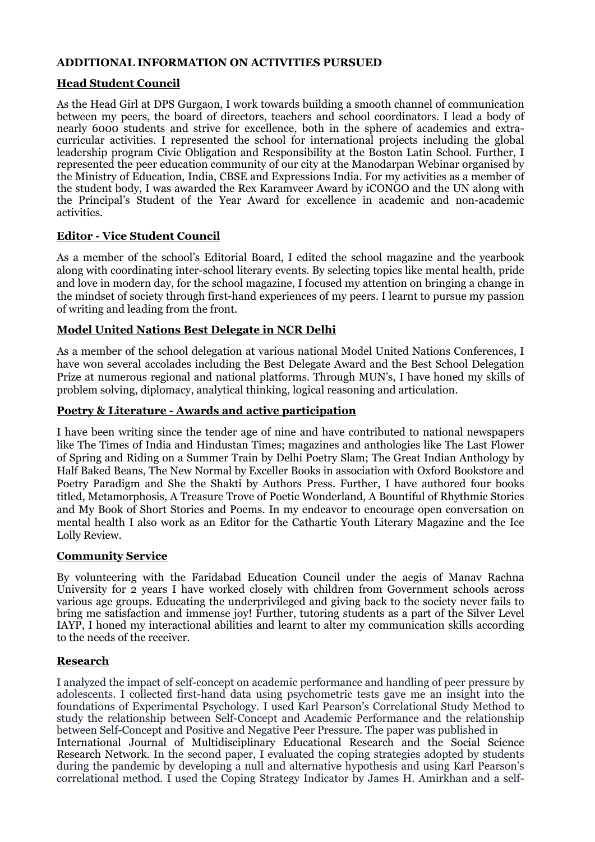### **ADDITIONAL INFORMATION ON ACTIVITIES PURSUED**

#### **Head Student Council**

As the Head Girl at DPS Gurgaon, I work towards building a smooth channel of communication between my peers, the board of directors, teachers and school coordinators. I lead a body of nearly 6000 students and strive for excellence, both in the sphere of academics and extracurricular activities. I represented the school for international projects including the global leadership program Civic Obligation and Responsibility at the Boston Latin School. Further, I represented the peer education community of our city at the Manodarpan Webinar organised by the Ministry of Education, India, CBSE and Expressions India. For my activities as a member of the student body, I was awarded the Rex Karamveer Award by iCONGO and the UN along with the Principal's Student of the Year Award for excellence in academic and non-academic activities.

### **Editor - Vice Student Council**

As a member of the school's Editorial Board, I edited the school magazine and the yearbook along with coordinating inter-school literary events. By selecting topics like mental health, pride and love in modern day, for the school magazine, I focused my attention on bringing a change in the mindset of society through first-hand experiences of my peers. I learnt to pursue my passion of writing and leading from the front.

### **Model United Nations Best Delegate in NCR Delhi**

As a member of the school delegation at various national Model United Nations Conferences, I have won several accolades including the Best Delegate Award and the Best School Delegation Prize at numerous regional and national platforms. Through MUN's, I have honed my skills of problem solving, diplomacy, analytical thinking, logical reasoning and articulation.

## **Poetry & Literature - Awards and active participation**

I have been writing since the tender age of nine and have contributed to national newspapers like The Times of India and Hindustan Times; magazines and anthologies like The Last Flower of Spring and Riding on a Summer Train by Delhi Poetry Slam; The Great Indian Anthology by Half Baked Beans, The New Normal by Exceller Books in association with Oxford Bookstore and Poetry Paradigm and She the Shakti by Authors Press. Further, I have authored four books titled, Metamorphosis, A Treasure Trove of Poetic Wonderland, A Bountiful of Rhythmic Stories and My Book of Short Stories and Poems. In my endeavor to encourage open conversation on mental health I also work as an Editor for the Cathartic Youth Literary Magazine and the Ice Lolly Review.

### **Community Service**

By volunteering with the Faridabad Education Council under the aegis of Manav Rachna University for 2 years I have worked closely with children from Government schools across various age groups. Educating the underprivileged and giving back to the society never fails to bring me satisfaction and immense joy! Further, tutoring students as a part of the Silver Level IAYP, I honed my interactional abilities and learnt to alter my communication skills according to the needs of the receiver.

### **Research**

I analyzed the impact of self-concept on academic performance and handling of peer pressure by adolescents. I collected first-hand data using psychometric tests gave me an insight into the foundations of Experimental Psychology. I used Karl Pearson's Correlational Study Method to study the relationship between Self-Concept and Academic Performance and the relationship between Self-Concept and Positive and Negative Peer Pressure. The paper was published in International Journal of Multidisciplinary Educational Research and the Social Science Research Network. In the second paper, I evaluated the coping strategies adopted by students during the pandemic by developing a null and alternative hypothesis and using Karl Pearson's correlational method. I used the Coping Strategy Indicator by James H. Amirkhan and a self-